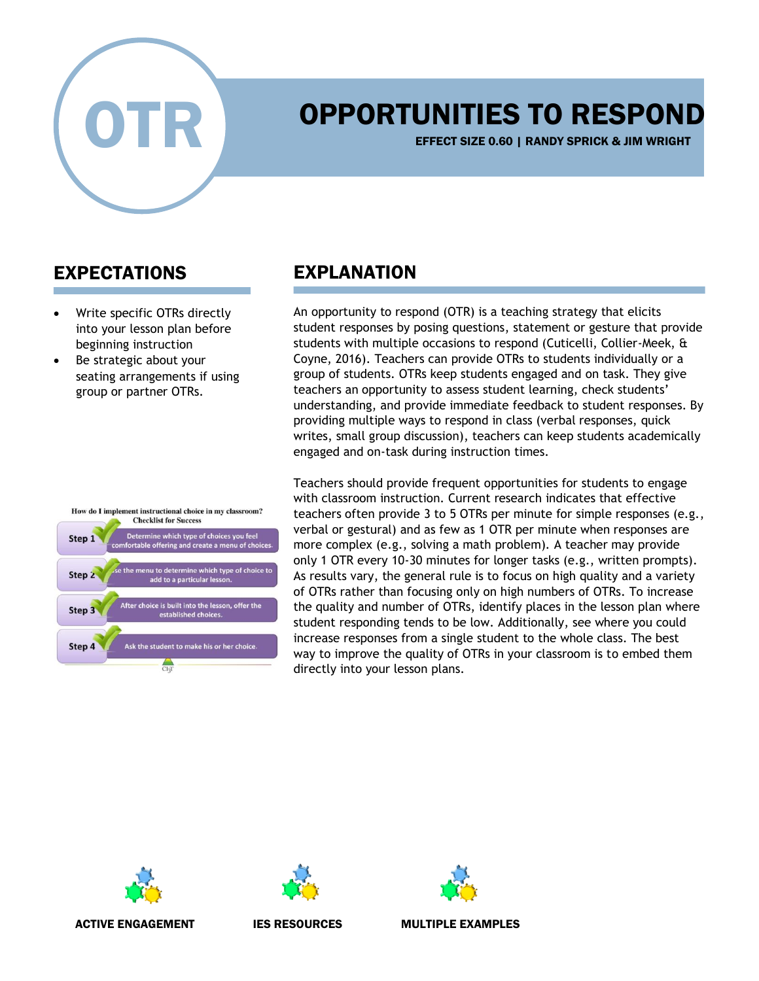

## OPPORTUNITIES TO RESPOND

EFFECT SIZE 0.60 | RANDY SPRICK & JIM WRIGHT

## EXPECTATIONS

- Write specific OTRs directly into your lesson plan before beginning instruction
- Be strategic about your seating arrangements if using group or partner OTRs.

## EXPLANATION

An opportunity to respond (OTR) is a teaching strategy that elicits student responses by posing questions, statement or gesture that provide students with multiple occasions to respond (Cuticelli, Collier-Meek, & Coyne, 2016). Teachers can provide OTRs to students individually or a group of students. OTRs keep students engaged and on task. They give teachers an opportunity to assess student learning, check students' understanding, and provide immediate feedback to student responses. By providing multiple ways to respond in class (verbal responses, quick writes, small group discussion), teachers can keep students academically engaged and on-task during instruction times.











ACTIVE ENGAGEMENT THES RESOURCES THE MULTIPLE EXAMPLES